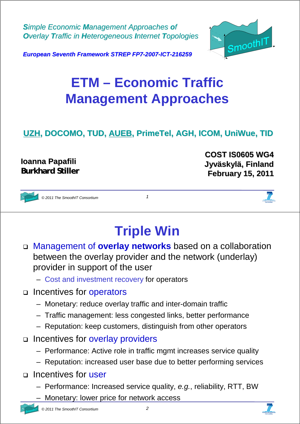*Simple Economic Management Approaches of Overlay Traffic in Heterogeneous Internet Topologies* 



*European Seventh Framework STREP FP7-2007-ICT-216259*

## **ETM – Economic Traffic Management Approaches**

#### **UZH, DOCOMO, TUD, AUEB, PrimeTel, AGH, ICOM, UniWue, TID**

#### **Ioanna Papafili Papafili Burkhard Stiller**

**COST IS0605 WG4 COST IS0605 WG4 Jyväskylä Jyväskylä, Finland , Finland February 15, February 15, 2011**



*© 2011 The SmoothIT Consortium 1*

## **Triple Win**

- Management of **overlay networks** based on a collaboration between the overlay provider and the network (underlay) provider in support of the user
	- Cost and investment recovery for operators
- □ Incentives for operators
	- Monetary: reduce overlay traffic and inter-domain traffic
	- Traffic management: less congested links, better performance
	- Reputation: keep customers, distinguish from other operators
- $\Box$  Incentives for overlay providers
	- Performance: Active role in traffic mgmt increases service quality
	- Reputation: increased user base due to better performing services
- □ Incentives for user
	- Performance: Increased service quality, *e.g.*, reliability, RTT, BW
	- Monetary: lower price for network access



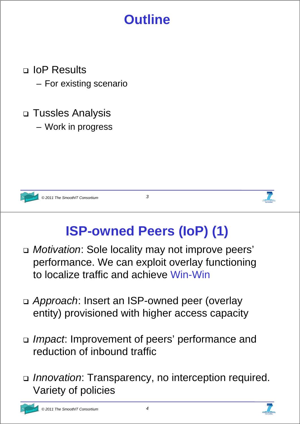## **Outline**

- □ IoP Results
	- For existing scenario
- Tussles Analysis
	- Work in progress



*© 2011 The SmoothIT Consortium 3*



# **ISP-owned Peers (IoP) (1)**

- *Motivation*: Sole locality may not improve peers' performance. We can exploit overlay functioning to localize traffic and achieve Win-Win
- *Approach*: Insert an ISP-owned peer (overlay entity) provisioned with higher access capacity
- *Impact*: Improvement of peers' performance and reduction of inbound traffic
- *Innovation*: Transparency, no interception required. Variety of policies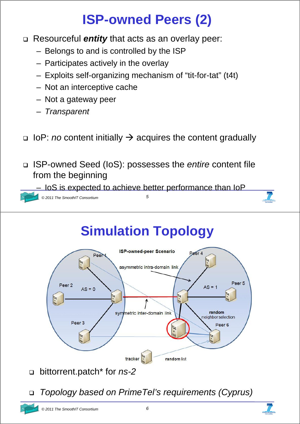# **ISP-owned Peers (2)**

- Resourceful *entity* that acts as an overlay peer:
	- Belongs to and is controlled by the ISP
	- Participates actively in the overlay
	- Exploits self-organizing mechanism of "tit-for-tat" (t4t)
	- Not an interceptive cache
	- Not a gateway peer
	- *Transparent*
- □ IoP: *no* content initially → acquires the content gradually
- ISP-owned Seed (IoS): possesses the *entire* content file from the beginning



## **Simulation Topology**



bittorrent.patch\* for *ns-2*

*Topology based on PrimeTel's requirements (Cyprus)*

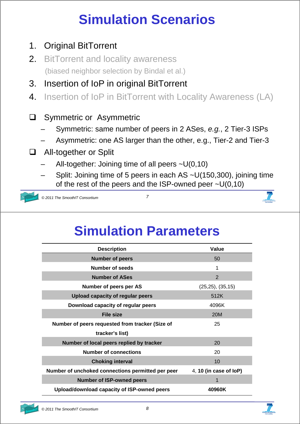# **Simulation Scenarios**

- 1. Original BitTorrent
- 2. BitTorrent and locality awareness (biased neighbor selection by Bindal et al.)
- 3. Insertion of IoP in original BitTorrent
- 4. Insertion of IoP in BitTorrent with Locality Awareness (LA)
- **Q** Symmetric or Asymmetric
	- Symmetric: same number of peers in 2 ASes, *e.g.*, 2 Tier-3 ISPs
	- Asymmetric: one AS larger than the other, e.g., Tier-2 and Tier-3
- □ All-together or Split
	- All-together: Joining time of all peers  $\sim U(0,10)$
	- Split: Joining time of 5 peers in each AS ~U(150,300), joining time of the rest of the peers and the ISP-owned peer  $\sim U(0,10)$



*© 2011 The SmoothIT Consortium 7*



### **Simulation Parameters**

| <b>Description</b>                                | <b>Value</b>              |
|---------------------------------------------------|---------------------------|
| <b>Number of peers</b>                            | 50                        |
| Number of seeds                                   | 1                         |
| <b>Number of ASes</b>                             | $\overline{2}$            |
| Number of peers per AS                            | $(25,25)$ , $(35,15)$     |
| Upload capacity of regular peers                  | 512K                      |
| Download capacity of regular peers                | 4096K                     |
| <b>File size</b>                                  | 20M                       |
| Number of peers requested from tracker (Size of   | 25                        |
| tracker's list)                                   |                           |
| Number of local peers replied by tracker          | 20                        |
| <b>Number of connections</b>                      | 20                        |
| <b>Choking interval</b>                           | 10                        |
| Number of unchoked connections permitted per peer | 4, 10 (in case of $I$ oP) |
| <b>Number of ISP-owned peers</b>                  | 1                         |
| Upload/download capacity of ISP-owned peers       | 40960K                    |

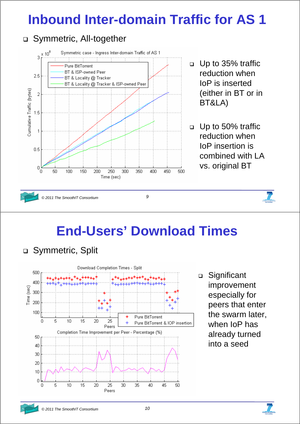## **Inbound Inter-domain Traffic for AS 1**

### □ Symmetric, All-together





*© 2011 The SmoothIT Consortium 9*

## **End-Users' Download Times**

□ Symmetric, Split



□ Significant improvement especially for peers that enter the swarm later, when IoP has already turned into a seed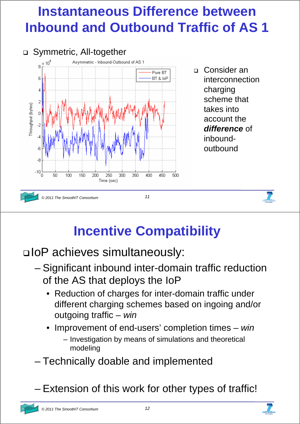## **Instantaneous Difference between Inbound and Outbound Traffic of AS 1**



 Consider an interconnection charging scheme that takes into account the *difference* of inboundoutbound

## **Incentive Compatibility**

IoP achieves simultaneously:

- Significant inbound inter-domain traffic reduction of the AS that deploys the IoP
	- Reduction of charges for inter-domain traffic under different charging schemes based on ingoing and/or outgoing traffic – *win*
	- Improvement of end-users' completion times *win*
		- Investigation by means of simulations and theoretical modeling
- Technically doable and implemented

– Extension of this work for other types of traffic!

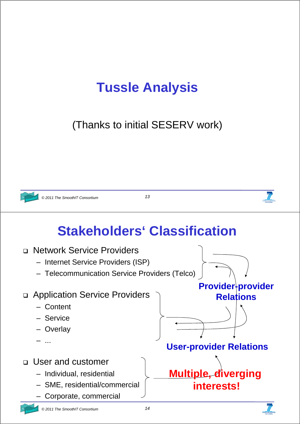## **Tussle Analysis**

(Thanks to initial SESERV work)



*© 2011 The SmoothIT Consortium 13*



## **Stakeholders' Classification**



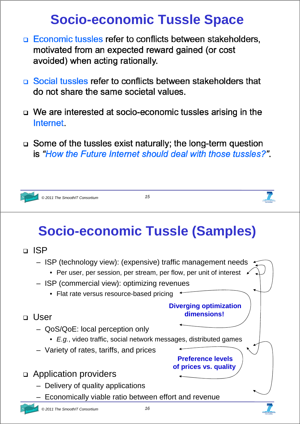## **Socio-economic Tussle Space**

- □ Economic tussles refer to conflicts between stakeholders, motivated from an expected reward gained (or cost avoided) when acting rationally.
- □ Social tussles refer to conflicts between stakeholders that do not share the same societal values.
- $\Box$  We are interested at socio-economic tussles arising in the Internet
- $\Box$  Some of the tussles exist naturally; the long-term question is "How the Future Internet should deal with those tussles?"



*© 2011 The SmoothIT Consortium 15*

# **Socio-economic Tussle (Samples)**

D ISP

User

- ISP (technology view): (expensive) traffic management needs
	- Per user, per session, per stream, per flow, per unit of interest
- ISP (commercial view): optimizing revenues
	- Flat rate versus resource-based pricing

#### **Diverging optimization dimensions!**

**Preference levels of prices vs. quality** 

- QoS/QoE: local perception only
	- *E.g.*, video traffic, social network messages, distributed games
- Variety of rates, tariffs, and prices
- Application providers
	- Delivery of quality applications
	- Economically viable ratio between effort and revenue